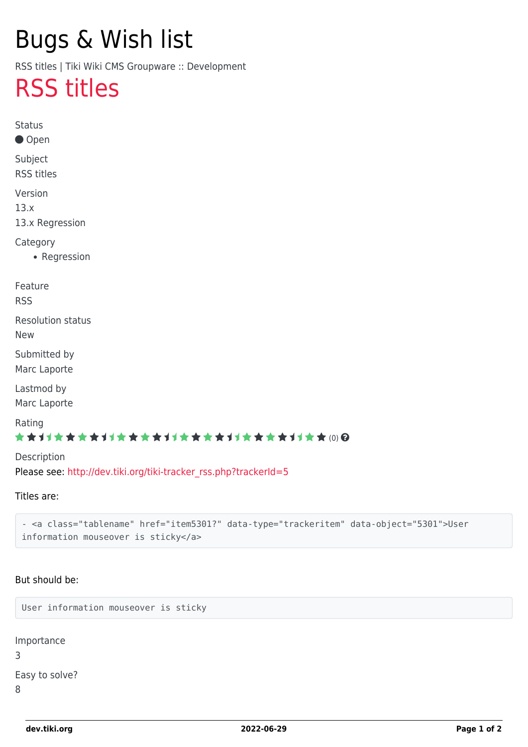# Bugs & Wish list

RSS titles | Tiki Wiki CMS Groupware :: Development

## [RSS titles](https://dev.tiki.org/item5302-RSS-titles)

**Status** ● Open Subject RSS titles Version 13.x 13.x Regression Category • Regression Feature RSS Resolution status New Submitted by Marc Laporte Lastmod by Marc Laporte Rating ★★11★★★★11★★★★11★★★★11★★★★11★★ @@ Description Please see: [http://dev.tiki.org/tiki-tracker\\_rss.php?trackerId=5](http://dev.tiki.org/tiki-tracker_rss.php?trackerId=5)

Titles are:

- <a class="tablename" href="item5301?" data-type="trackeritem" data-object="5301">User information mouseover is sticky</a>

#### But should be:

User information mouseover is sticky

Importance 3 Easy to solve? 8